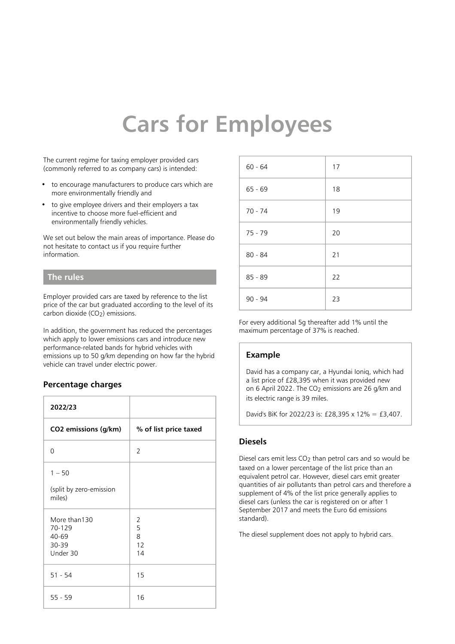# **Cars for Employees**

The current regime for taxing employer provided cars (commonly referred to as company cars) is intended:

- to encourage manufacturers to produce cars which are more environmentally friendly and
- to give employee drivers and their employers a tax incentive to choose more fuel-efficient and environmentally friendly vehicles.

We set out below the main areas of importance. Please do not hesitate to contact us if you require further information.

#### **The rules**

Employer provided cars are taxed by reference to the list price of the car but graduated according to the level of its carbon dioxide (CO<sub>2</sub>) emissions.

In addition, the government has reduced the percentages which apply to lower emissions cars and introduce new performance-related bands for hybrid vehicles with emissions up to 50 g/km depending on how far the hybrid vehicle can travel under electric power.

#### **Percentage charges**

| 2022/23                                              |                         |
|------------------------------------------------------|-------------------------|
| CO2 emissions (g/km)                                 | % of list price taxed   |
| $\Omega$                                             | $\mathcal{P}$           |
| $1 - 50$<br>(split by zero-emission<br>miles)        |                         |
| More than130<br>70-129<br>40-69<br>30-39<br>Under 30 | 2<br>5<br>8<br>12<br>14 |
| $51 - 54$                                            | 15                      |
| $55 - 59$                                            | 16                      |

| $60 - 64$ | 17 |
|-----------|----|
| $65 - 69$ | 18 |
| $70 - 74$ | 19 |
| $75 - 79$ | 20 |
| $80 - 84$ | 21 |
| $85 - 89$ | 22 |
| 90 - 94   | 23 |

For every additional 5g thereafter add 1% until the maximum percentage of 37% is reached.

# **Example**

David has a company car, a Hyundai Ioniq, which had a list price of £28,395 when it was provided new on 6 April 2022. The CO2 emissions are 26 g/km and its electric range is 39 miles.

David's BiK for 2022/23 is: £28,395 x 12% = £3,407.

#### **Diesels**

Diesel cars emit less CO<sub>2</sub> than petrol cars and so would be taxed on a lower percentage of the list price than an equivalent petrol car. However, diesel cars emit greater quantities of air pollutants than petrol cars and therefore a supplement of 4% of the list price generally applies to diesel cars (unless the car is registered on or after 1 September 2017 and meets the Euro 6d emissions standard).

The diesel supplement does not apply to hybrid cars.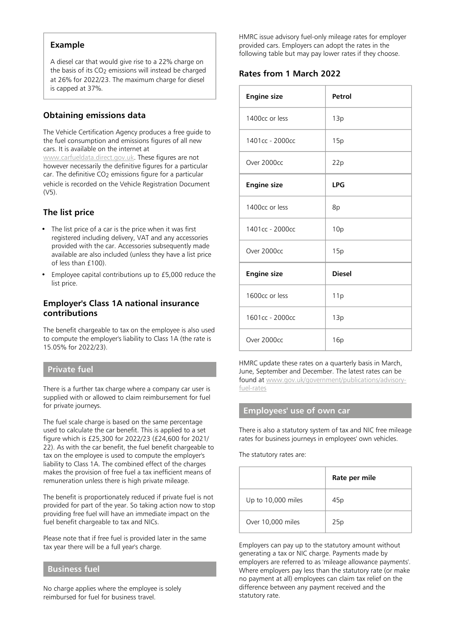#### **Example**

A diesel car that would give rise to a 22% charge on the basis of its CO<sub>2</sub> emissions will instead be charged at 26% for 2022/23. The maximum charge for diesel is capped at 37%.

# **Obtaining emissions data**

The Vehicle Certification Agency produces a free guide to the fuel consumption and emissions figures of all new cars. It is available on the internet at

[www.carfueldata.direct.gov.uk](http://carfueldata.direct.gov.uk/). These figures are not however necessarily the definitive figures for a particular car. The definitive CO<sub>2</sub> emissions figure for a particular vehicle is recorded on the Vehicle Registration Document (V5).

# **The list price**

- The list price of a car is the price when it was first registered including delivery, VAT and any accessories provided with the car. Accessories subsequently made available are also included (unless they have a list price of less than £100).
- Employee capital contributions up to £5,000 reduce the list price.

#### **Employer's Class 1A national insurance contributions**

The benefit chargeable to tax on the employee is also used to compute the employer's liability to Class 1A (the rate is 15.05% for 2022/23).

#### **Private fuel**

There is a further tax charge where a company car user is supplied with or allowed to claim reimbursement for fuel for private journeys.

The fuel scale charge is based on the same percentage used to calculate the car benefit. This is applied to a set figure which is £25,300 for 2022/23 (£24,600 for 2021/ 22). As with the car benefit, the fuel benefit chargeable to tax on the employee is used to compute the employer's liability to Class 1A. The combined effect of the charges makes the provision of free fuel a tax inefficient means of remuneration unless there is high private mileage.

The benefit is proportionately reduced if private fuel is not provided for part of the year. So taking action now to stop providing free fuel will have an immediate impact on the fuel benefit chargeable to tax and NICs.

Please note that if free fuel is provided later in the same tax year there will be a full year's charge.

#### **Business fuel**

No charge applies where the employee is solely reimbursed for fuel for business travel.

HMRC issue advisory fuel-only mileage rates for employer provided cars. Employers can adopt the rates in the following table but may pay lower rates if they choose.

# **Rates from 1 March 2022**

| <b>Engine size</b> | Petrol        |
|--------------------|---------------|
| 1400cc or less     | 13p           |
| 1401cc - 2000cc    | 15p           |
| Over 2000cc        | 22p           |
| <b>Engine size</b> | <b>LPG</b>    |
| 1400cc or less     | 8p            |
| 1401cc - 2000cc    | 10p           |
| Over 2000cc        | 15p           |
| <b>Engine size</b> | <b>Diesel</b> |
| 1600cc or less     | 11p           |
| 1601cc - 2000cc    | 13p           |
| Over 2000cc        | 16p           |

HMRC update these rates on a quarterly basis in March, June, September and December. The latest rates can be found at [www.gov.uk/government/publications/advisory](https://www.gov.uk/government/publications/advisory-fuel-rates)[fuel-rates](https://www.gov.uk/government/publications/advisory-fuel-rates)

#### **Employees' use of own car**

There is also a statutory system of tax and NIC free mileage rates for business journeys in employees' own vehicles.

The statutory rates are:

|                    | Rate per mile |
|--------------------|---------------|
| Up to 10,000 miles | 45p           |
| Over 10,000 miles  | 25p           |

Employers can pay up to the statutory amount without generating a tax or NIC charge. Payments made by employers are referred to as 'mileage allowance payments'. Where employers pay less than the statutory rate (or make no payment at all) employees can claim tax relief on the difference between any payment received and the statutory rate.